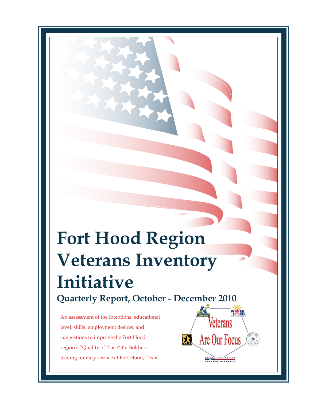# **Fort Hood Region Veterans Inventory Initiative Quarterly Report, October - December 2010**

An assessment of the intentions, educational level, skills, employment desires, and suggestions to improve the Fort Hood region's "Quality of Place" for Soldiers leaving military service at Fort Hood, Texas.

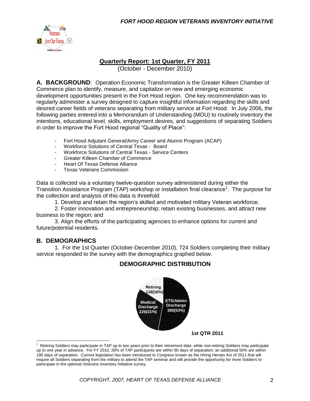

#### **Quarterly Report: 1st Quarter, FY 2011**

(October - December 2010)

**A. BACKGROUND**: Operation Economic Transformation is the Greater Killeen Chamber of Commerce plan to identify, measure, and capitalize on new and emerging economic development opportunities present in the Fort Hood region. One key recommendation was to regularly administer a survey designed to capture insightful information regarding the skills and desired career fields of veterans separating from military service at Fort Hood. In July 2006, the following parties entered into a Memorandum of Understanding (MOU) to routinely inventory the intentions, educational level, skills, employment desires, and suggestions of separating Soldiers in order to improve the Fort Hood regional "Quality of Place":

- Fort Hood Adjutant General/Army Career and Alumni Program (ACAP)
- Workforce Solutions of Central Texas Board<br>- Workforce Solutions of Central Texas Service
- Workforce Solutions of Central Texas Service Centers
- Greater Killeen Chamber of Commerce
- Heart Of Texas Defense Alliance
- Texas Veterans Commission

Data is collected via a voluntary twelve-question survey administered during either the Transition Assistance Program (TAP) workshop or installation final clearance<sup>1</sup>. The purpose for the collection and analysis of this data is threefold:

1. Develop and retain the region's skilled and motivated military Veteran workforce;

2. Foster innovation and entrepreneurship; retain existing businesses, and attract new business to the region; and

3. Align the efforts of the participating agencies to enhance options for current and future/potential residents.

#### **B. DEMOGRAPHICS**

 $\overline{a}$ 

1. For the 1st Quarter (October-December 2010), 724 Soldiers completing their military service responded to the survey with the demographics graphed below.

#### **DEMOGRAPHIC DISTRIBUTION**



**1st QTR 2011**

<sup>1</sup> Retiring Soldiers may participate in TAP up to two years prior to their retirement date, while non-retiring Soldiers may participate up to one year in advance. For FY 2010, 28% of TAP participants are within 90 days of separation; an additional 50% are within 180 days of separation. Current legislation has been introduced to Congress known as the Hiring Heroes Act of 2011 that will require all Soldiers separating from the military to attend the TAP seminar and will provide the opportunity for more Soldiers to participate in the optional Veterans Inventory Initiative survey.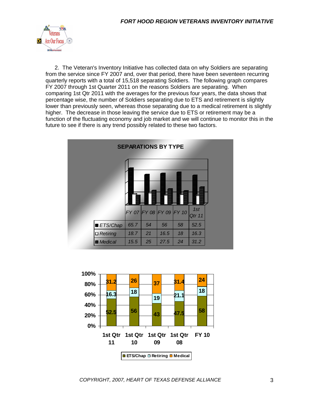

2. The Veteran's Inventory Initiative has collected data on why Soldiers are separating from the service since FY 2007 and, over that period, there have been seventeen recurring quarterly reports with a total of 15,518 separating Soldiers. The following graph compares FY 2007 through 1st Quarter 2011 on the reasons Soldiers are separating. When comparing 1st Qtr 2011 with the averages for the previous four years, the data shows that percentage wise, the number of Soldiers separating due to ETS and retirement is slightly lower than previously seen, whereas those separating due to a medical retirement is slightly higher. The decrease in those leaving the service due to ETS or retirement may be a function of the fluctuating economy and job market and we will continue to monitor this in the future to see if there is any trend possibly related to these two factors.

|                 |      | <b>SEPARATIONS BY TYPE</b>      |      |    |        |  |
|-----------------|------|---------------------------------|------|----|--------|--|
|                 |      |                                 |      |    | 1st    |  |
|                 |      | $FY$ 07 $FY$ 08 $FY$ 09 $FY$ 10 |      |    | Qtr 11 |  |
| ■ ETS/Chap      | 65.7 | 54                              | 56   | 58 | 52.5   |  |
| $\Box$ Retiring | 18.7 | 21                              | 16.5 | 18 | 16.3   |  |
| <b>Medical</b>  | 15.5 | 25                              | 27.5 | 24 | 31.2   |  |

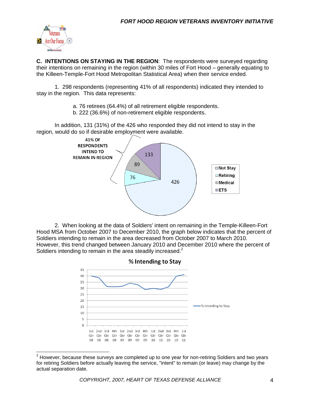

**C. INTENTIONS ON STAYING IN THE REGION**: The respondents were surveyed regarding their intentions on remaining in the region (within 30 miles of Fort Hood – generally equating to the Killeen-Temple-Fort Hood Metropolitan Statistical Area) when their service ended.

1. 298 respondents (representing 41% of all respondents) indicated they intended to stay in the region. This data represents:

- a. 76 retirees (64.4%) of all retirement eligible respondents.
- b. 222 (36.6%) of non-retirement eligible respondents.

In addition, 131 (31%) of the 426 who responded they did not intend to stay in the region, would do so if desirable employment were available.



2. When looking at the data of Soldiers' intent on remaining in the Temple-Killeen-Fort Hood MSA from October 2007 to December 2010, the graph below indicates that the percent of Soldiers intending to remain in the area decreased from October 2007 to March 2010. However, this trend changed between January 2010 and December 2010 where the percent of Soldiers intending to remain in the area steadily increased.<sup>2</sup>



  $2$  However, because these surveys are completed up to one year for non-retiring Soldiers and two years for retiring Soldiers before actually leaving the service, "intent" to remain (or leave) may change by the actual separation date.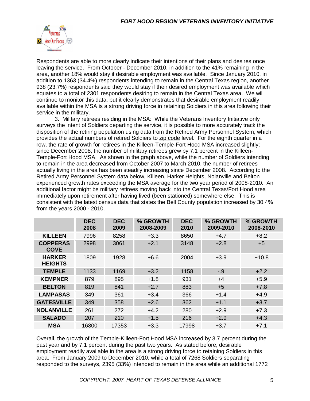

Respondents are able to more clearly indicate their intentions of their plans and desires once leaving the service. From October - December 2010, in addition to the 41% remaining in the area, another 18% would stay if desirable employment was available. Since January 2010, in addition to 1363 (34.4%) respondents intending to remain in the Central Texas region, another 938 (23.7%) respondents said they would stay if their desired employment was available which equates to a total of 2301 respondents desiring to remain in the Central Texas area. We will continue to monitor this data, but it clearly demonstrates that desirable employment readily available within the MSA is a strong driving force in retaining Soldiers in this area following their service in the military.

3. Military retirees residing in the MSA: While the Veterans Inventory Initiative only surveys the intent of Soldiers departing the service, it is possible to more accurately track the disposition of the retiring population using data from the Retired Army Personnel System, which provides the actual numbers of retired Soldiers to zip code level. For the eighth quarter in a row, the rate of growth for retirees in the Killeen-Temple-Fort Hood MSA increased slightly; since December 2008, the number of military retirees grew by 7.1 percent in the Killeen-Temple-Fort Hood MSA. As shown in the graph above, while the number of Soldiers intending to remain in the area decreased from October 2007 to March 2010, the number of retirees actually living in the area has been steadily increasing since December 2008. According to the Retired Army Personnel System data below, Killeen, Harker Heights, Nolanville and Belton experienced growth rates exceeding the MSA average for the two year period of 2008-2010. An additional factor might be military retirees moving back into the Central Texas/Fort Hood area immediately upon retirement after having lived (been stationed) somewhere else. This is consistent with the latest census data that states the Bell County population increased by 30.4% from the years 2000 - 2010.

|                                 | <b>DEC</b><br>2008 | <b>DEC</b><br>2009 | % GROWTH<br>2008-2009 | <b>DEC</b><br>2010 | % GROWTH<br>2009-2010 | % GROWTH<br>2008-2010 |
|---------------------------------|--------------------|--------------------|-----------------------|--------------------|-----------------------|-----------------------|
| <b>KILLEEN</b>                  | 7996               | 8258               | $+3.3$                | 8650               | $+4.7$                | $+8.2$                |
| <b>COPPERAS</b><br><b>COVE</b>  | 2998               | 3061               | $+2.1$                | 3148               | $+2.8$                | $+5$                  |
| <b>HARKER</b><br><b>HEIGHTS</b> | 1809               | 1928               | $+6.6$                | 2004               | $+3.9$                | $+10.8$               |
| <b>TEMPLE</b>                   | 1133               | 1169               | $+3.2$                | 1158               | $-9$                  | $+2.2$                |
| <b>KEMPNER</b>                  | 879                | 895                | $+1.8$                | 931                | $+4$                  | $+5.9$                |
| <b>BELTON</b>                   | 819                | 841                | $+2.7$                | 883                | $+5$                  | $+7.8$                |
| <b>LAMPASAS</b>                 | 349                | 361                | $+3.4$                | 366                | $+1.4$                | $+4.9$                |
| <b>GATESVILLE</b>               | 349                | 358                | $+2.6$                | 362                | $+1.1$                | $+3.7$                |
| <b>NOLANVILLE</b>               | 261                | 272                | $+4.2$                | 280                | $+2.9$                | $+7.3$                |
| <b>SALADO</b>                   | 207                | 210                | $+1.5$                | 216                | $+2.9$                | $+4.3$                |
| <b>MSA</b>                      | 16800              | 17353              | $+3.3$                | 17998              | $+3.7$                | $+7.1$                |

Overall, the growth of the Temple-Killeen-Fort Hood MSA increased by 3.7 percent during the past year and by 7.1 percent during the past two years. As stated before, desirable employment readily available in the area is a strong driving force to retaining Soldiers in this area. From January 2009 to December 2010, while a total of 7268 Soldiers separating responded to the surveys, 2395 (33%) intended to remain in the area while an additional 1772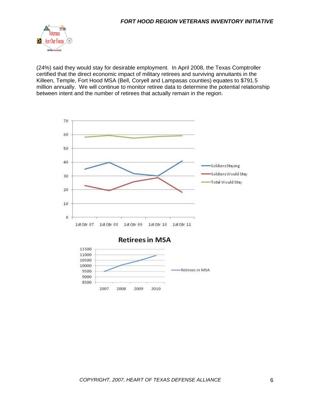

(24%) said they would stay for desirable employment. In April 2008, the Texas Comptroller certified that the direct economic impact of military retirees and surviving annuitants in the Killeen, Temple, Fort Hood MSA (Bell, Coryell and Lampasas counties) equates to \$791.5 million annually. We will continue to monitor retiree data to determine the potential relationship between intent and the number of retirees that actually remain in the region.



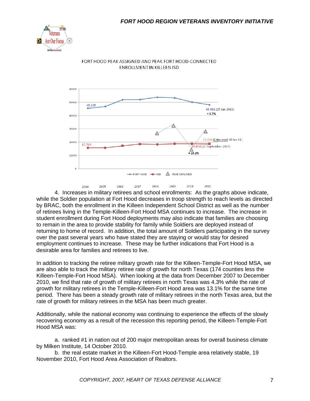



FORT HOOD PEAK ASSIGNED AND PEAK FORT HOOD-CONNECTED **ENROLLMENT IN KILLEEN ISD** 

4. Increases in military retirees and school enrollments: As the graphs above indicate, while the Soldier population at Fort Hood decreases in troop strength to reach levels as directed by BRAC, both the enrollment in the Killeen Independent School District as well as the number of retirees living in the Temple-Killeen-Fort Hood MSA continues to increase. The increase in student enrollment during Fort Hood deployments may also indicate that families are choosing to remain in the area to provide stability for family while Soldiers are deployed instead of returning to home of record. In addition, the total amount of Soldiers participating in the survey over the past several years who have stated they are staying or would stay for desired employment continues to increase. These may be further indications that Fort Hood is a desirable area for families and retirees to live.

In addition to tracking the retiree military growth rate for the Killeen-Temple-Fort Hood MSA, we are also able to track the military retiree rate of growth for north Texas (174 counties less the Killeen-Temple-Fort Hood MSA). When looking at the data from December 2007 to December 2010, we find that rate of growth of military retirees in north Texas was 4.3% while the rate of growth for military retirees in the Temple-Killeen-Fort Hood area was 13.1% for the same time period. There has been a steady growth rate of military retirees in the north Texas area, but the rate of growth for military retirees in the MSA has been much greater.

Additionally, while the national economy was continuing to experience the effects of the slowly recovering economy as a result of the recession this reporting period, the Killeen-Temple-Fort Hood MSA was:

a. ranked #1 in nation out of 200 major metropolitan areas for overall business climate by Milken Institute, 14 October 2010.

b. the real estate market in the Killeen-Fort Hood-Temple area relatively stable, 19 November 2010, Fort Hood Area Association of Realtors.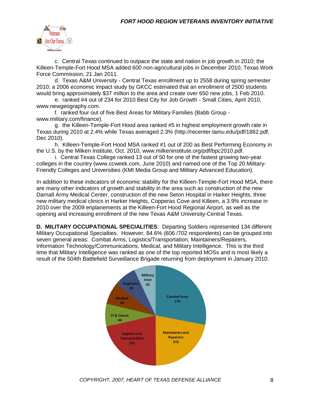

c. Central Texas continued to outpace the state and nation in job growth in 2010; the Killeen-Temple-Fort Hood MSA added 600 non-agricultural jobs in December 2010, Texas Work Force Commission, 21 Jan 2011.

d. Texas A&M University - Central Texas enrollment up to 2558 during spring semester 2010; a 2006 economic impact study by GKCC estimated that an enrollment of 2500 students would bring approximately \$37 million to the area and create over 650 new jobs, 1 Feb 2010.

e. ranked #4 out of 234 for 2010 Best City for Job Growth - Small Cities, April 2010, www.newgeography.com.

f. ranked four out of five Best Areas for Military Families (Babb Group www.military.com/finance).

g. the Killeen-Temple-Fort Hood area ranked #5 in highest employment growth rate in Texas during 2010 at 2.4% while Texas averaged 2.3% (http://recenter.tamu.edu/pdf/1862.pdf, Dec 2010).

h. Killeen-Temple-Fort Hood MSA ranked #1 out of 200 as Best Performing Economy in the U.S. by the Milken Institute, Oct. 2010, www.milkeninstitute.org/pdf/bpc2010.pdf.

i. Central Texas College ranked 13 out of 50 for one of the fastest growing two-year colleges in the country (www.ccweek.com, June 2010) and named one of the Top 20 Military-Friendly Colleges and Universities (KMI Media Group and Military Advanced Education).

In addition to these indicators of economic stability for the Killeen-Temple-Fort Hood MSA, there are many other indicators of growth and stability in the area such as construction of the new Darnall Army Medical Center, construction of the new Seton Hospital in Harker Heights, three new military medical clinics in Harker Heights, Copperas Cove and Killeen, a 3.9% increase in 2010 over the 2009 enplanements at the Killeen-Fort Hood Regional Airport, as well as the opening and increasing enrollment of the new Texas A&M University-Central Texas.

**D. MILITARY OCCUPATIONAL SPECIALITIES**: Departing Soldiers represented 134 different Military Occupational Specialties. However, 84.6% (606 /702 respondents) can be grouped into seven general areas: Combat Arms, Logistics/Transportation, Maintainers/Repairers, Information Technology/Communications, Medical, and Military Intelligence. This is the third time that Military Intelligence was ranked as one of the top reported MOSs and is most likely a result of the 504th Battlefield Surveillance Brigade returning from deployment in January 2010.

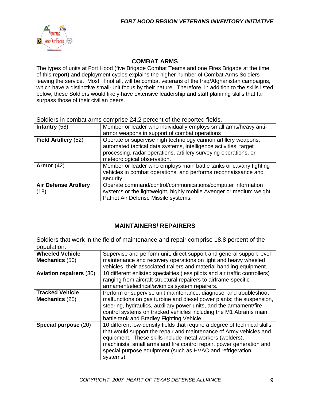

#### **COMBAT ARMS**

The types of units at Fort Hood (five Brigade Combat Teams and one Fires Brigade at the time of this report) and deployment cycles explains the higher number of Combat Arms Soldiers leaving the service. Most, if not all, will be combat veterans of the Iraq/Afghanistan campaigns, which have a distinctive small-unit focus by their nature. Therefore, in addition to the skills listed below, these Soldiers would likely have extensive leadership and staff planning skills that far surpass those of their civilian peers.

Soldiers in combat arms comprise 24.2 percent of the reported fields.

| Infantry $(58)$                      | Member or leader who individually employs small arms/heavy anti-<br>armor weapons in support of combat operations                                                                                                                     |
|--------------------------------------|---------------------------------------------------------------------------------------------------------------------------------------------------------------------------------------------------------------------------------------|
| Field Artillery (52)                 | Operate or supervise high technology cannon artillery weapons,<br>automated tactical data systems, intelligence activities, target<br>processing, radar operations, artillery surveying operations, or<br>meteorological observation. |
| Armor $(42)$                         | Member or leader who employs main battle tanks or cavalry fighting<br>vehicles in combat operations, and performs reconnaissance and<br>security.                                                                                     |
| <b>Air Defense Artillery</b><br>(18) | Operate command/control/communications/computer information<br>systems or the lightweight, highly mobile Avenger or medium weight<br>Patriot Air Defense Missile systems.                                                             |

#### **MAINTAINERS/ REPAIRERS**

Soldiers that work in the field of maintenance and repair comprise 18.8 percent of the population.

| ----------                               |                                                                                                                                                                                                                                                                                                                                                               |
|------------------------------------------|---------------------------------------------------------------------------------------------------------------------------------------------------------------------------------------------------------------------------------------------------------------------------------------------------------------------------------------------------------------|
| <b>Wheeled Vehicle</b><br>Mechanics (50) | Supervise and perform unit, direct support and general support level<br>maintenance and recovery operations on light and heavy wheeled<br>vehicles, their associated trailers and material handling equipment.                                                                                                                                                |
| <b>Aviation repairers (30)</b>           | 10 different enlisted specialties (less pilots and air traffic controllers)<br>ranging from aircraft structural repairers to airframe-specific<br>armament/electrical/avionics system repairers.                                                                                                                                                              |
| <b>Tracked Vehicle</b><br>Mechanics (25) | Perform or supervise unit maintenance, diagnose, and troubleshoot<br>malfunctions on gas turbine and diesel power plants; the suspension,<br>steering, hydraulics, auxiliary power units, and the armament/fire<br>control systems on tracked vehicles including the M1 Abrams main<br>battle tank and Bradley Fighting Vehicle.                              |
| Special purpose (20)                     | 10 different low-density fields that require a degree of technical skills<br>that would support the repair and maintenance of Army vehicles and<br>equipment. These skills include metal workers (welders),<br>machinists, small arms and fire control repair, power generation and<br>special purpose equipment (such as HVAC and refrigeration<br>systems). |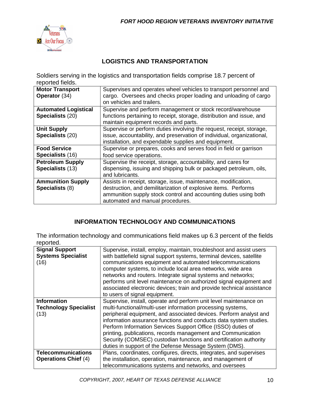

#### **LOGISTICS AND TRANSPORTATION**

Soldiers serving in the logistics and transportation fields comprise 18.7 percent of reported fields.

| <b>Motor Transport</b><br>Operator (34)         | Supervises and operates wheel vehicles to transport personnel and<br>cargo. Oversees and checks proper loading and unloading of cargo<br>on vehicles and trailers.                                                                       |
|-------------------------------------------------|------------------------------------------------------------------------------------------------------------------------------------------------------------------------------------------------------------------------------------------|
| <b>Automated Logistical</b><br>Specialists (20) | Supervise and perform management or stock record/warehouse<br>functions pertaining to receipt, storage, distribution and issue, and                                                                                                      |
| <b>Unit Supply</b><br>Specialists (20)          | maintain equipment records and parts.<br>Supervise or perform duties involving the request, receipt, storage,<br>issue, accountability, and preservation of individual, organizational,                                                  |
| <b>Food Service</b><br>Specialists (16)         | installation, and expendable supplies and equipment.<br>Supervise or prepares, cooks and serves food in field or garrison<br>food service operations.                                                                                    |
| <b>Petroleum Supply</b><br>Specialists (13)     | Supervise the receipt, storage, accountability, and cares for<br>dispensing, issuing and shipping bulk or packaged petroleum, oils,<br>and lubricants.                                                                                   |
| <b>Ammunition Supply</b><br>Specialists (8)     | Assists in receipt, storage, issue, maintenance, modification,<br>destruction, and demilitarization of explosive items. Performs<br>ammunition supply stock control and accounting duties using both<br>automated and manual procedures. |

#### **INFORMATION TECHNOLOGY AND COMMUNICATIONS**

The information technology and communications field makes up 6.3 percent of the fields reported.

| ,,,,,,,,,                                                  |                                                                                                                                                                                                                                                                                                                                                                                                                                                                                                                                           |
|------------------------------------------------------------|-------------------------------------------------------------------------------------------------------------------------------------------------------------------------------------------------------------------------------------------------------------------------------------------------------------------------------------------------------------------------------------------------------------------------------------------------------------------------------------------------------------------------------------------|
| <b>Signal Support</b><br><b>Systems Specialist</b><br>(16) | Supervise, install, employ, maintain, troubleshoot and assist users<br>with battlefield signal support systems, terminal devices, satellite<br>communications equipment and automated telecommunications<br>computer systems, to include local area networks, wide area<br>networks and routers. Integrate signal systems and networks;<br>performs unit level maintenance on authorized signal equipment and<br>associated electronic devices; train and provide technical assistance<br>to users of signal equipment.                   |
| <b>Information</b><br><b>Technology Specialist</b><br>(13) | Supervise, install, operate and perform unit level maintenance on<br>multi-functional/multi-user information processing systems,<br>peripheral equipment, and associated devices. Perform analyst and<br>information assurance functions and conducts data system studies.<br>Perform Information Services Support Office (ISSO) duties of<br>printing, publications, records management and Communication<br>Security (COMSEC) custodian functions and certification authority<br>duties in support of the Defense Message System (DMS). |
| <b>Telecommunications</b><br><b>Operations Chief (4)</b>   | Plans, coordinates, configures, directs, integrates, and supervises<br>the installation, operation, maintenance, and management of<br>telecommunications systems and networks, and oversees                                                                                                                                                                                                                                                                                                                                               |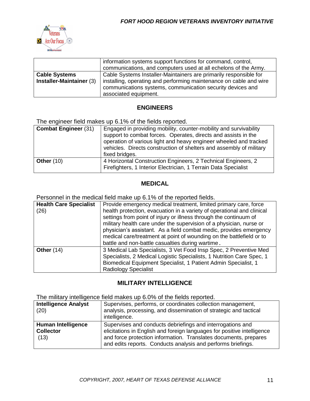

|                          | information systems support functions for command, control,<br>communications, and computers used at all echelons of the Army.                            |
|--------------------------|-----------------------------------------------------------------------------------------------------------------------------------------------------------|
| <b>Cable Systems</b>     | Cable Systems Installer-Maintainers are primarily responsible for                                                                                         |
| Installer-Maintainer (3) | installing, operating and performing maintenance on cable and wire<br>communications systems, communication security devices and<br>associated equipment. |

#### **ENGINEERS**

The engineer field makes up 6.1% of the fields reported.

| <b>Combat Engineer (31)</b> | Engaged in providing mobility, counter-mobility and survivability<br>support to combat forces. Operates, directs and assists in the<br>operation of various light and heavy engineer wheeled and tracked<br>vehicles. Directs construction of shelters and assembly of military<br>fixed bridges. |
|-----------------------------|---------------------------------------------------------------------------------------------------------------------------------------------------------------------------------------------------------------------------------------------------------------------------------------------------|
| <b>Other (10)</b>           | 4 Horizontal Construction Engineers, 2 Technical Engineers, 2<br>Firefighters, 1 Interior Electrician, 1 Terrain Data Specialist                                                                                                                                                                  |

#### **MEDICAL**

Personnel in the medical field make up 6.1% of the reported fields.

| <b>Health Care Specialist</b><br>(26) | Provide emergency medical treatment, limited primary care, force<br>health protection, evacuation in a variety of operational and clinical<br>settings from point of injury or illness through the continuum of<br>military health care under the supervision of a physician, nurse or<br>physician's assistant. As a field combat medic, provides emergency<br>medical care/treatment at point of wounding on the battlefield or to<br>battle and non-battle casualties during wartime. |
|---------------------------------------|------------------------------------------------------------------------------------------------------------------------------------------------------------------------------------------------------------------------------------------------------------------------------------------------------------------------------------------------------------------------------------------------------------------------------------------------------------------------------------------|
| Other $(14)$                          | 3 Medical Lab Specialists, 3 Vet Food Insp Spec, 2 Preventive Med<br>Specialists, 2 Medical Logistic Specialists, 1 Nutrition Care Spec, 1<br>Biomedical Equipment Specialist, 1 Patient Admin Specialist, 1<br><b>Radiology Specialist</b>                                                                                                                                                                                                                                              |

#### **MILITARY INTELLIGENCE**

The military intelligence field makes up 6.0% of the fields reported.

| 1.11                                                  |                                                                                                                                                                                                                                                                           |  |
|-------------------------------------------------------|---------------------------------------------------------------------------------------------------------------------------------------------------------------------------------------------------------------------------------------------------------------------------|--|
| <b>Intelligence Analyst</b><br>(20)                   | Supervises, performs, or coordinates collection management,<br>analysis, processing, and dissemination of strategic and tactical<br>intelligence.                                                                                                                         |  |
| <b>Human Intelligence</b><br><b>Collector</b><br>(13) | Supervises and conducts debriefings and interrogations and<br>elicitations in English and foreign languages for positive intelligence<br>and force protection information. Translates documents, prepares<br>and edits reports. Conducts analysis and performs briefings. |  |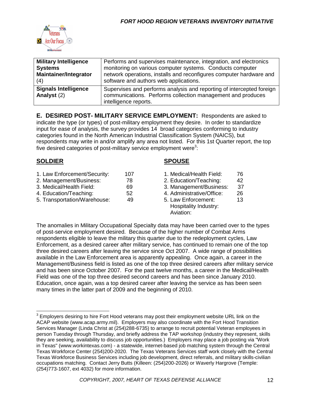

| <b>Military Intelligence</b><br><b>Systems</b><br><b>Maintainer/Integrator</b><br>(4) | Performs and supervises maintenance, integration, and electronics<br>monitoring on various computer systems. Conducts computer<br>network operations, installs and reconfigures computer hardware and<br>software and authors web applications. |
|---------------------------------------------------------------------------------------|-------------------------------------------------------------------------------------------------------------------------------------------------------------------------------------------------------------------------------------------------|
| <b>Signals Intelligence</b><br>Analyst (2)                                            | Supervises and performs analysis and reporting of intercepted foreign<br>communications. Performs collection management and produces<br>intelligence reports.                                                                                   |

**E. DESIRED POST- MILITARY SERVICE EMPLOYMENT:** Respondents are asked to indicate the type (or types) of post-military employment they desire. In order to standardize input for ease of analysis, the survey provides 14 broad categories conforming to industry categories found in the North American Industrial Classification System (NAICS), but respondents may write in and/or amplify any area not listed. For this 1st Quarter report, the top five desired categories of post-military service employment were<sup>3</sup>:

#### **SOLDIER SPOUSE**

| 1. Law Enforcement/Security: | 107 |
|------------------------------|-----|
| 2. Management/Business:      | 78  |
| 3. Medical/Health Field:     | 69  |
| 4. Education/Teaching:       | 52  |

5. Transportation/Warehouse: 49 5. Law Enforcement: 13

- 1. Medical/Health Field: 76
- 2. Education/Teaching: 42
- 3. Management/Business: 37
- 4. Administrative/Office: 26
- Hospitality Industry: Aviation:

The anomalies in Military Occupational Specialty data may have been carried over to the types of post-service employment desired. Because of the higher number of Combat Arms respondents eligible to leave the military this quarter due to the redeployment cycles, Law Enforcement, as a desired career after military service, has continued to remain one of the top three desired careers after leaving the service since Oct 2007. A wide range of possibilities available in the Law Enforcement area is apparently appealing. Once again, a career in the Management/Business field is listed as one of the top three desired careers after military service and has been since October 2007. For the past twelve months, a career in the Medical/Health Field was one of the top three desired second careers and has been since January 2010. Education, once again, was a top desired career after leaving the service as has been seen many times in the latter part of 2009 and the beginning of 2010.

 $3$  Employers desiring to hire Fort Hood veterans may post their employment website URL link on the ACAP website (www.acap.army.mil). Employers may also coordinate with the Fort Hood Transition Services Manager (Linda Christ at (254)288-6735) to arrange to recruit potential Veteran employees in person Tuesday through Thursday, and briefly address the TAP workshop (industry they represent, skills they are seeking, availability to discuss job opportunities.) Employers may place a job posting via "Work in Texas" (www.workintexas.com) - a statewide, internet-based job matching system through the Central Texas Workforce Center (254)200-2020. The Texas Veterans Services staff work closely with the Central Texas Workforce Business Services including job development, direct referrals, and military skills-civilian occupations matching. Contact Jerry Butts (Killeen: (254)200-2026) or Waverly Hargrove (Temple: (254)773-1607, ext 4032) for more information.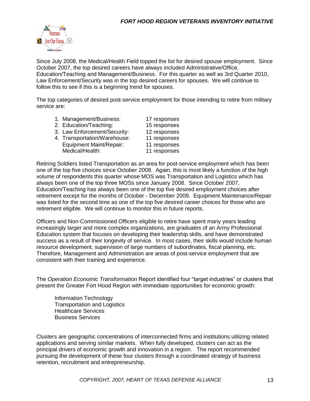

Since July 2008, the Medical/Health Field topped the list for desired spouse employment. Since October 2007, the top desired careers have always included Administrative/Office, Education/Teaching and Management/Business. For this quarter as well as 3rd Quarter 2010, Law Enforcement/Security was in the top desired careers for spouses. We will continue to follow this to see if this is a beginning trend for spouses.

The top categories of desired post-service employment for those intending to retire from military service are:

1. Management/Business: 17 responses<br>2. Education/Teaching: 15 responses 2. Education/Teaching: 3. Law Enforcement/Security: 12 responses 4. Transportation/Warehouse: 11 responses Equipment Maint/Repair: 11 responses Medical/Health: 11 responses

Retiring Soldiers listed Transportation as an area for post-service employment which has been one of the top five choices since October 2008. Again, this is most likely a function of the high volume of respondents this quarter whose MOS was Transportation and Logistics which has always been one of the top three MOSs since January 2008. Since October 2007, Education/Teaching has always been one of the top five desired employment choices after retirement except for the months of October - December 2009. Equipment Maintenance/Repair was listed for the second time as one of the top five desired career choices for those who are retirement eligible. We will continue to monitor this in future reports.

Officers and Non-Commissioned Officers eligible to retire have spent many years leading increasingly larger and more complex organizations, are graduates of an Army Professional Education system that focuses on developing their leadership skills, and have demonstrated success as a result of their longevity of service. In most cases, their skills would include human resource development, supervision of large numbers of subordinates, fiscal planning, etc. Therefore, Management and Administration are areas of post-service employment that are consistent with their training and experience.

The *Operation Economic Transformation* Report identified four "target industries" or clusters that present the Greater Fort Hood Region with immediate opportunities for economic growth:

Information Technology Transportation and Logistics Healthcare Services Business Services

Clusters are geographic concentrations of interconnected firms and institutions utilizing related applications and serving similar markets. When fully developed, clusters can act as the principal drivers of economic growth and innovation in a region. The report recommended pursuing the development of these four clusters through a coordinated strategy of business retention, recruitment and entrepreneurship.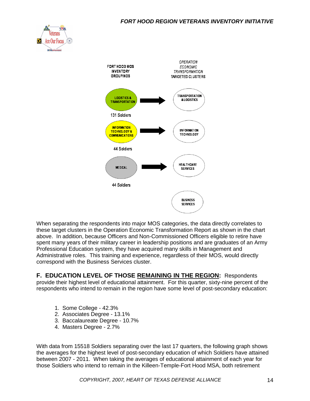#### *FORT HOOD REGION VETERANS INVENTORY INITIATIVE*





When separating the respondents into major MOS categories, the data directly correlates to these target clusters in the Operation Economic Transformation Report as shown in the chart above. In addition, because Officers and Non-Commissioned Officers eligible to retire have spent many years of their military career in leadership positions and are graduates of an Army Professional Education system, they have acquired many skills in Management and Administrative roles. This training and experience, regardless of their MOS, would directly correspond with the Business Services cluster.

**F. EDUCATION LEVEL OF THOSE REMAINING IN THE REGION:** Respondents provide their highest level of educational attainment. For this quarter, sixty-nine percent of the respondents who intend to remain in the region have some level of post-secondary education:

- 1. Some College 42.3%
- 2. Associates Degree 13.1%
- 3. Baccalaureate Degree 10.7%
- 4. Masters Degree 2.7%

With data from 15518 Soldiers separating over the last 17 quarters, the following graph shows the averages for the highest level of post-secondary education of which Soldiers have attained between 2007 - 2011. When taking the averages of educational attainment of each year for those Soldiers who intend to remain in the Killeen-Temple-Fort Hood MSA, both retirement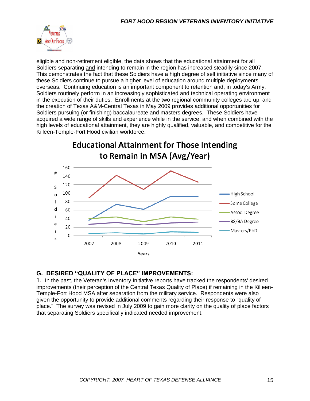

eligible and non-retirement eligible, the data shows that the educational attainment for all Soldiers separating and intending to remain in the region has increased steadily since 2007. This demonstrates the fact that these Soldiers have a high degree of self initiative since many of these Soldiers continue to pursue a higher level of education around multiple deployments overseas. Continuing education is an important component to retention and, in today's Army, Soldiers routinely perform in an increasingly sophisticated and technical operating environment in the execution of their duties. Enrollments at the two regional community colleges are up, and the creation of Texas A&M-Central Texas in May 2009 provides additional opportunities for Soldiers pursuing (or finishing) baccalaureate and masters degrees. These Soldiers have acquired a wide range of skills and experience while in the service, and when combined with the high levels of educational attainment, they are highly qualified, valuable, and competitive for the Killeen-Temple-Fort Hood civilian workforce.

**Educational Attainment for Those Intending** to Remain in MSA (Avg/Year) 160  $#$ 140 120 S 100 High School  $\circ$ 80  $\mathbf{I}$ Some College d 60 Assoc. Degree i 40 BS/BA Degree e 20 Masters/PhD r 0 S 2007 2008 2009 2010 2011 Years

#### **G. DESIRED "QUALITY OF PLACE" IMPROVEMENTS:**

1. In the past, the Veteran's Inventory Initiative reports have tracked the respondents' desired improvements (their perception of the Central Texas Quality of Place) if remaining in the Killeen-Temple-Fort Hood MSA after separation from the military service. Respondents were also given the opportunity to provide additional comments regarding their response to "quality of place." The survey was revised in July 2009 to gain more clarity on the quality of place factors that separating Soldiers specifically indicated needed improvement.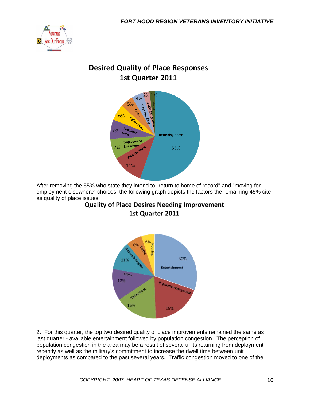

### **Desired Quality of Place Responses** 1st Quarter 2011



After removing the 55% who state they intend to "return to home of record" and "moving for employment elsewhere" choices, the following graph depicts the factors the remaining 45% cite as quality of place issues.<br>Quality of Place Desires Needing Improvement

## 1st Quarter 2011



2. For this quarter, the top two desired quality of place improvements remained the same as last quarter - available entertainment followed by population congestion. The perception of population congestion in the area may be a result of several units returning from deployment recently as well as the military's commitment to increase the dwell time between unit deployments as compared to the past several years. Traffic congestion moved to one of the